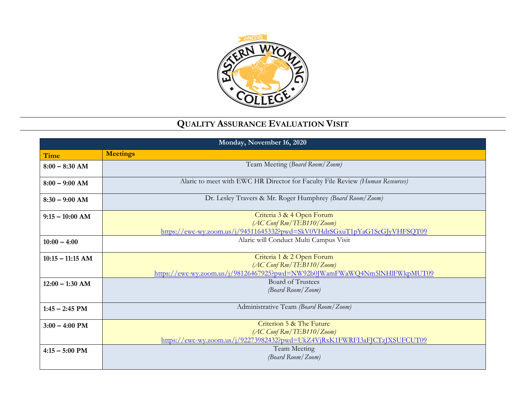

## **QUALITY ASSURANCE EVALUATION VISIT**

| Monday, November 16, 2020 |                                                                                                                                                     |
|---------------------------|-----------------------------------------------------------------------------------------------------------------------------------------------------|
| Time                      | <b>Meetings</b>                                                                                                                                     |
| $8:00 - 8:30$ AM          | Team Meeting (Board Room/Zoom)                                                                                                                      |
| $8:00 - 9:00$ AM          | Alaric to meet with EWC HR Director for Faculty File Review (Human Resources)                                                                       |
| $8:30 - 9:00$ AM          | Dr. Lesley Travers & Mr. Roger Humphrey (Board Room/Zoom)                                                                                           |
| $9:15-10:00$ AM           | Criteria 3 & 4 Open Forum<br>(AC Conf Rm/TEB110/Zoom)<br>https://ewc-wy.zoom.us/j/94511645332?pwd=SkV0VHdrSGxuT1pYaG1ScGJyVHFSQT09                  |
| $10:00 - 4:00$            | Alaric will Conduct Multi Campus Visit                                                                                                              |
| $10:15 - 11:15$ AM        | Criteria 1 & 2 Open Forum<br>$(AC \text{ Conf Rm/TEB110}/\text{Zoom})$<br>https://ewc-wy.zoom.us/j/98126467925?pwd=NW92b0JWamFWaWQ4Nm5lNHlFWkpMUT09 |
| $12:00 - 1:30$ AM         | <b>Board of Trustees</b><br>(Board Room/Zoom)                                                                                                       |
| $1:45 - 2:45$ PM          | Administrative Team (Board Room/Zoom)                                                                                                               |
| $3:00 - 4:00$ PM          | Criterion 5 & The Future<br>$(AC \text{ Conf Rm/TEB110}/\text{Zoom})$<br>https://ewc-wy.zoom.us/j/92273982432?pwd=UkZ4VjRxK1FWRFI3aFJCTzJXSUFCUT09  |
| $4:15 - 5:00$ PM          | Team Meeting<br>(Board Room/Zoom)                                                                                                                   |